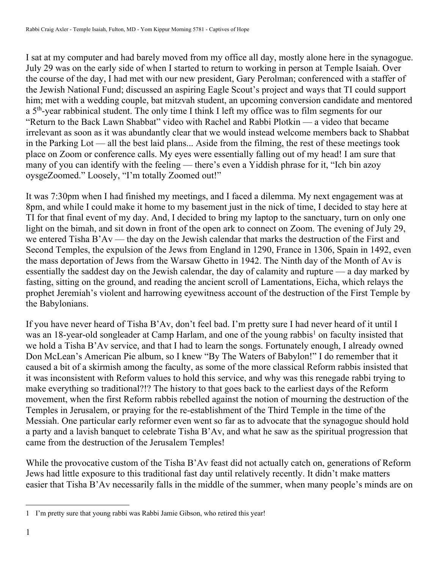I sat at my computer and had barely moved from my office all day, mostly alone here in the synagogue. July 29 was on the early side of when I started to return to working in person at Temple Isaiah. Over the course of the day, I had met with our new president, Gary Perolman; conferenced with a staffer of the Jewish National Fund; discussed an aspiring Eagle Scout's project and ways that TI could support him; met with a wedding couple, bat mitzvah student, an upcoming conversion candidate and mentored a 5<sup>th</sup>-year rabbinical student. The only time I think I left my office was to film segments for our "Return to the Back Lawn Shabbat" video with Rachel and Rabbi Plotkin — a video that became irrelevant as soon as it was abundantly clear that we would instead welcome members back to Shabbat in the Parking Lot — all the best laid plans... Aside from the filming, the rest of these meetings took place on Zoom or conference calls. My eyes were essentially falling out of my head! I am sure that many of you can identify with the feeling — there's even a Yiddish phrase for it, "Ich bin azoy oysgeZoomed." Loosely, "I'm totally Zoomed out!"

It was 7:30pm when I had finished my meetings, and I faced a dilemma. My next engagement was at 8pm, and while I could make it home to my basement just in the nick of time, I decided to stay here at TI for that final event of my day. And, I decided to bring my laptop to the sanctuary, turn on only one light on the bimah, and sit down in front of the open ark to connect on Zoom. The evening of July 29, we entered Tisha B'Av — the day on the Jewish calendar that marks the destruction of the First and Second Temples, the expulsion of the Jews from England in 1290, France in 1306, Spain in 1492, even the mass deportation of Jews from the Warsaw Ghetto in 1942. The Ninth day of the Month of Av is essentially the saddest day on the Jewish calendar, the day of calamity and rupture — a day marked by fasting, sitting on the ground, and reading the ancient scroll of Lamentations, Eicha, which relays the prophet Jeremiah's violent and harrowing eyewitness account of the destruction of the First Temple by the Babylonians.

If you have never heard of Tisha B'Av, don't feel bad. I'm pretty sure I had never heard of it until I was an 18-year-old songleader at Camp Harlam, and one of the young rabbis<sup>1</sup> on faculty insisted that we hold a Tisha B'Av service, and that I had to learn the songs. Fortunately enough, I already owned Don McLean's American Pie album, so I knew "By The Waters of Babylon!" I do remember that it caused a bit of a skirmish among the faculty, as some of the more classical Reform rabbis insisted that it was inconsistent with Reform values to hold this service, and why was this renegade rabbi trying to make everything so traditional?!? The history to that goes back to the earliest days of the Reform movement, when the first Reform rabbis rebelled against the notion of mourning the destruction of the Temples in Jerusalem, or praying for the re-establishment of the Third Temple in the time of the Messiah. One particular early reformer even went so far as to advocate that the synagogue should hold a party and a lavish banquet to celebrate Tisha B'Av, and what he saw as the spiritual progression that came from the destruction of the Jerusalem Temples!

While the provocative custom of the Tisha B'Av feast did not actually catch on, generations of Reform Jews had little exposure to this traditional fast day until relatively recently. It didn't make matters easier that Tisha B'Av necessarily falls in the middle of the summer, when many people's minds are on

<sup>1</sup> I'm pretty sure that young rabbi was Rabbi Jamie Gibson, who retired this year!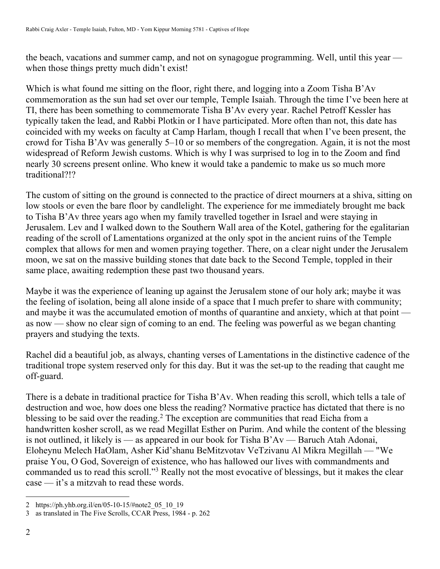the beach, vacations and summer camp, and not on synagogue programming. Well, until this year when those things pretty much didn't exist!

Which is what found me sitting on the floor, right there, and logging into a Zoom Tisha B'Av commemoration as the sun had set over our temple, Temple Isaiah. Through the time I've been here at TI, there has been something to commemorate Tisha B'Av every year. Rachel Petroff Kessler has typically taken the lead, and Rabbi Plotkin or I have participated. More often than not, this date has coincided with my weeks on faculty at Camp Harlam, though I recall that when I've been present, the crowd for Tisha B'Av was generally 5–10 or so members of the congregation. Again, it is not the most widespread of Reform Jewish customs. Which is why I was surprised to log in to the Zoom and find nearly 30 screens present online. Who knew it would take a pandemic to make us so much more traditional?!?

The custom of sitting on the ground is connected to the practice of direct mourners at a shiva, sitting on low stools or even the bare floor by candlelight. The experience for me immediately brought me back to Tisha B'Av three years ago when my family travelled together in Israel and were staying in Jerusalem. Lev and I walked down to the Southern Wall area of the Kotel, gathering for the egalitarian reading of the scroll of Lamentations organized at the only spot in the ancient ruins of the Temple complex that allows for men and women praying together. There, on a clear night under the Jerusalem moon, we sat on the massive building stones that date back to the Second Temple, toppled in their same place, awaiting redemption these past two thousand years.

Maybe it was the experience of leaning up against the Jerusalem stone of our holy ark; maybe it was the feeling of isolation, being all alone inside of a space that I much prefer to share with community; and maybe it was the accumulated emotion of months of quarantine and anxiety, which at that point as now — show no clear sign of coming to an end. The feeling was powerful as we began chanting prayers and studying the texts.

Rachel did a beautiful job, as always, chanting verses of Lamentations in the distinctive cadence of the traditional trope system reserved only for this day. But it was the set-up to the reading that caught me off-guard.

There is a debate in traditional practice for Tisha B'Av. When reading this scroll, which tells a tale of destruction and woe, how does one bless the reading? Normative practice has dictated that there is no blessing to be said over the reading.<sup>2</sup> The exception are communities that read Eicha from a handwritten kosher scroll, as we read Megillat Esther on Purim. And while the content of the blessing is not outlined, it likely is — as appeared in our book for Tisha B'Av — Baruch Atah Adonai, Eloheynu Melech HaOlam, Asher Kid'shanu BeMitzvotav VeTzivanu Al Mikra Megillah — "We praise You, O God, Sovereign of existence, who has hallowed our lives with commandments and commanded us to read this scroll."3 Really not the most evocative of blessings, but it makes the clear case — it's a mitzvah to read these words.

<sup>2</sup> https://ph.yhb.org.il/en/05-10-15/#note2\_05\_10\_19

<sup>3</sup> as translated in The Five Scrolls, CCAR Press, 1984 - p. 262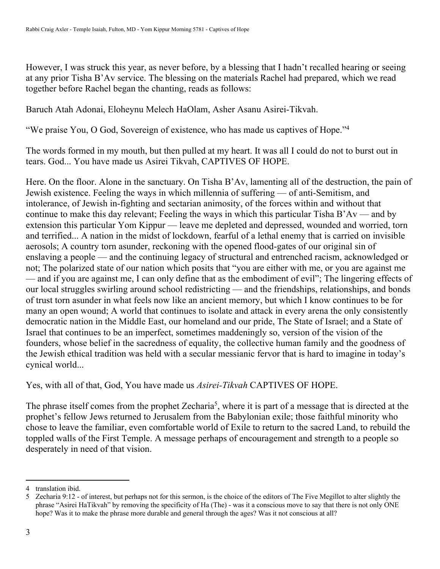However, I was struck this year, as never before, by a blessing that I hadn't recalled hearing or seeing at any prior Tisha B'Av service. The blessing on the materials Rachel had prepared, which we read together before Rachel began the chanting, reads as follows:

Baruch Atah Adonai, Eloheynu Melech HaOlam, Asher Asanu Asirei-Tikvah.

"We praise You, O God, Sovereign of existence, who has made us captives of Hope."4

The words formed in my mouth, but then pulled at my heart. It was all I could do not to burst out in tears. God... You have made us Asirei Tikvah, CAPTIVES OF HOPE.

Here. On the floor. Alone in the sanctuary. On Tisha B'Av, lamenting all of the destruction, the pain of Jewish existence. Feeling the ways in which millennia of suffering — of anti-Semitism, and intolerance, of Jewish in-fighting and sectarian animosity, of the forces within and without that continue to make this day relevant; Feeling the ways in which this particular Tisha B'Av — and by extension this particular Yom Kippur — leave me depleted and depressed, wounded and worried, torn and terrified... A nation in the midst of lockdown, fearful of a lethal enemy that is carried on invisible aerosols; A country torn asunder, reckoning with the opened flood-gates of our original sin of enslaving a people — and the continuing legacy of structural and entrenched racism, acknowledged or not; The polarized state of our nation which posits that "you are either with me, or you are against me — and if you are against me, I can only define that as the embodiment of evil"; The lingering effects of our local struggles swirling around school redistricting — and the friendships, relationships, and bonds of trust torn asunder in what feels now like an ancient memory, but which I know continues to be for many an open wound; A world that continues to isolate and attack in every arena the only consistently democratic nation in the Middle East, our homeland and our pride, The State of Israel; and a State of Israel that continues to be an imperfect, sometimes maddeningly so, version of the vision of the founders, whose belief in the sacredness of equality, the collective human family and the goodness of the Jewish ethical tradition was held with a secular messianic fervor that is hard to imagine in today's cynical world...

Yes, with all of that, God, You have made us *Asirei-Tikvah* CAPTIVES OF HOPE.

The phrase itself comes from the prophet Zecharia<sup>5</sup>, where it is part of a message that is directed at the prophet's fellow Jews returned to Jerusalem from the Babylonian exile; those faithful minority who chose to leave the familiar, even comfortable world of Exile to return to the sacred Land, to rebuild the toppled walls of the First Temple. A message perhaps of encouragement and strength to a people so desperately in need of that vision.

<sup>4</sup> translation ibid.

<sup>5</sup> Zecharia 9:12 - of interest, but perhaps not for this sermon, is the choice of the editors of The Five Megillot to alter slightly the phrase "Asirei HaTikvah" by removing the specificity of Ha (The) - was it a conscious move to say that there is not only ONE hope? Was it to make the phrase more durable and general through the ages? Was it not conscious at all?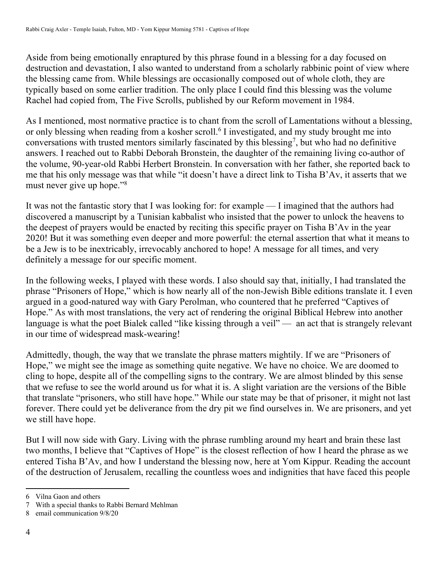Aside from being emotionally enraptured by this phrase found in a blessing for a day focused on destruction and devastation, I also wanted to understand from a scholarly rabbinic point of view where the blessing came from. While blessings are occasionally composed out of whole cloth, they are typically based on some earlier tradition. The only place I could find this blessing was the volume Rachel had copied from, The Five Scrolls, published by our Reform movement in 1984.

As I mentioned, most normative practice is to chant from the scroll of Lamentations without a blessing, or only blessing when reading from a kosher scroll.<sup>6</sup> I investigated, and my study brought me into conversations with trusted mentors similarly fascinated by this blessing<sup>7</sup>, but who had no definitive answers. I reached out to Rabbi Deborah Bronstein, the daughter of the remaining living co-author of the volume, 90-year-old Rabbi Herbert Bronstein. In conversation with her father, she reported back to me that his only message was that while "it doesn't have a direct link to Tisha B'Av, it asserts that we must never give up hope."8

It was not the fantastic story that I was looking for: for example — I imagined that the authors had discovered a manuscript by a Tunisian kabbalist who insisted that the power to unlock the heavens to the deepest of prayers would be enacted by reciting this specific prayer on Tisha B'Av in the year 2020! But it was something even deeper and more powerful: the eternal assertion that what it means to be a Jew is to be inextricably, irrevocably anchored to hope! A message for all times, and very definitely a message for our specific moment.

In the following weeks, I played with these words. I also should say that, initially, I had translated the phrase "Prisoners of Hope," which is how nearly all of the non-Jewish Bible editions translate it. I even argued in a good-natured way with Gary Perolman, who countered that he preferred "Captives of Hope." As with most translations, the very act of rendering the original Biblical Hebrew into another language is what the poet Bialek called "like kissing through a veil" — an act that is strangely relevant in our time of widespread mask-wearing!

Admittedly, though, the way that we translate the phrase matters mightily. If we are "Prisoners of Hope," we might see the image as something quite negative. We have no choice. We are doomed to cling to hope, despite all of the compelling signs to the contrary. We are almost blinded by this sense that we refuse to see the world around us for what it is. A slight variation are the versions of the Bible that translate "prisoners, who still have hope." While our state may be that of prisoner, it might not last forever. There could yet be deliverance from the dry pit we find ourselves in. We are prisoners, and yet we still have hope.

But I will now side with Gary. Living with the phrase rumbling around my heart and brain these last two months, I believe that "Captives of Hope" is the closest reflection of how I heard the phrase as we entered Tisha B'Av, and how I understand the blessing now, here at Yom Kippur. Reading the account of the destruction of Jerusalem, recalling the countless woes and indignities that have faced this people

<sup>6</sup> Vilna Gaon and others

<sup>7</sup> With a special thanks to Rabbi Bernard Mehlman

<sup>8</sup> email communication 9/8/20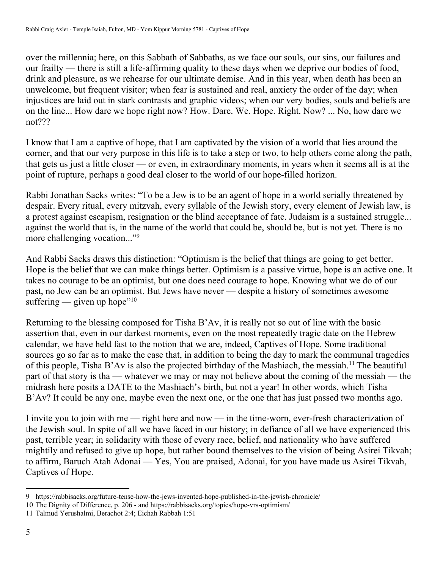over the millennia; here, on this Sabbath of Sabbaths, as we face our souls, our sins, our failures and our frailty — there is still a life-affirming quality to these days when we deprive our bodies of food, drink and pleasure, as we rehearse for our ultimate demise. And in this year, when death has been an unwelcome, but frequent visitor; when fear is sustained and real, anxiety the order of the day; when injustices are laid out in stark contrasts and graphic videos; when our very bodies, souls and beliefs are on the line... How dare we hope right now? How. Dare. We. Hope. Right. Now? ... No, how dare we not???

I know that I am a captive of hope, that I am captivated by the vision of a world that lies around the corner, and that our very purpose in this life is to take a step or two, to help others come along the path, that gets us just a little closer — or even, in extraordinary moments, in years when it seems all is at the point of rupture, perhaps a good deal closer to the world of our hope-filled horizon.

Rabbi Jonathan Sacks writes: "To be a Jew is to be an agent of hope in a world serially threatened by despair. Every ritual, every mitzvah, every syllable of the Jewish story, every element of Jewish law, is a protest against escapism, resignation or the blind acceptance of fate. Judaism is a sustained struggle... against the world that is, in the name of the world that could be, should be, but is not yet. There is no more challenging vocation..."<sup>9</sup>

And Rabbi Sacks draws this distinction: "Optimism is the belief that things are going to get better. Hope is the belief that we can make things better. Optimism is a passive virtue, hope is an active one. It takes no courage to be an optimist, but one does need courage to hope. Knowing what we do of our past, no Jew can be an optimist. But Jews have never — despite a history of sometimes awesome suffering — given up hope"<sup>10</sup>

Returning to the blessing composed for Tisha B'Av, it is really not so out of line with the basic assertion that, even in our darkest moments, even on the most repeatedly tragic date on the Hebrew calendar, we have held fast to the notion that we are, indeed, Captives of Hope. Some traditional sources go so far as to make the case that, in addition to being the day to mark the communal tragedies of this people, Tisha B'Av is also the projected birthday of the Mashiach, the messiah.11 The beautiful part of that story is tha — whatever we may or may not believe about the coming of the messiah — the midrash here posits a DATE to the Mashiach's birth, but not a year! In other words, which Tisha B'Av? It could be any one, maybe even the next one, or the one that has just passed two months ago.

I invite you to join with me — right here and now — in the time-worn, ever-fresh characterization of the Jewish soul. In spite of all we have faced in our history; in defiance of all we have experienced this past, terrible year; in solidarity with those of every race, belief, and nationality who have suffered mightily and refused to give up hope, but rather bound themselves to the vision of being Asirei Tikvah; to affirm, Baruch Atah Adonai — Yes, You are praised, Adonai, for you have made us Asirei Tikvah, Captives of Hope.

<sup>9</sup> https://rabbisacks.org/future-tense-how-the-jews-invented-hope-published-in-the-jewish-chronicle/

<sup>10</sup> The Dignity of Difference, p. 206 - and https://rabbisacks.org/topics/hope-vrs-optimism/

<sup>11</sup> Talmud Yerushalmi, Berachot 2:4; Eichah Rabbah 1:51